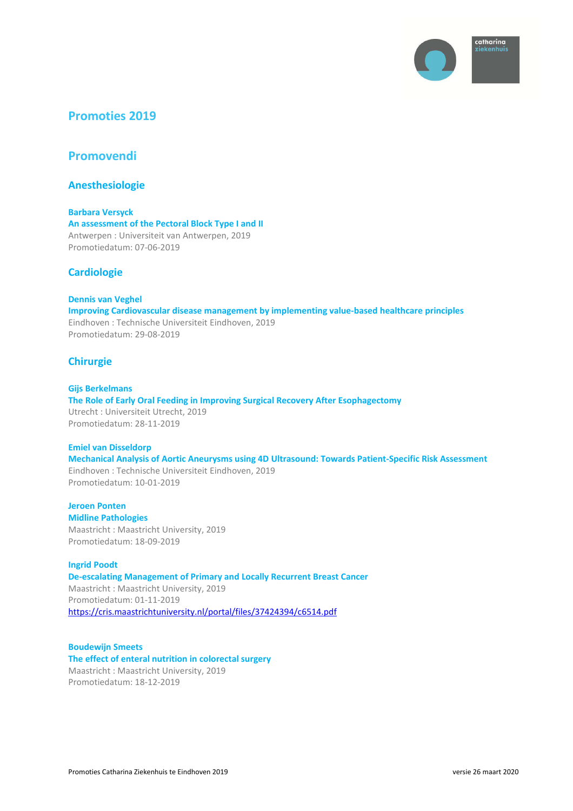

# **Promoties 2019**

**Promovendi** 

**Anesthesiologie** 

**Barbara Versyck An assessment of the Pectoral Block Type I and II**  Antwerpen : Universiteit van Antwerpen, 2019 Promotiedatum: 07-06-2019

# **Cardiologie**

**Dennis van Veghel Improving Cardiovascular disease management by implementing value-based healthcare principles**  Eindhoven : Technische Universiteit Eindhoven, 2019 Promotiedatum: 29-08-2019

# **Chirurgie**

**Gijs Berkelmans The Role of Early Oral Feeding in Improving Surgical Recovery After Esophagectomy**  Utrecht : Universiteit Utrecht, 2019 Promotiedatum: 28-11-2019

**Emiel van Disseldorp Mechanical Analysis of Aortic Aneurysms using 4D Ultrasound: Towards Patient-Specific Risk Assessment**  Eindhoven : Technische Universiteit Eindhoven, 2019 Promotiedatum: 10-01-2019

**Jeroen Ponten Midline Pathologies**  Maastricht : Maastricht University, 2019 Promotiedatum: 18-09-2019

**Ingrid Poodt De-escalating Management of Primary and Locally Recurrent Breast Cancer**  Maastricht : Maastricht University, 2019 Promotiedatum: 01-11-2019 https://cris.maastrichtuniversity.nl/portal/files/37424394/c6514.pdf

**Boudewijn Smeets The effect of enteral nutrition in colorectal surgery**  Maastricht : Maastricht University, 2019 Promotiedatum: 18-12-2019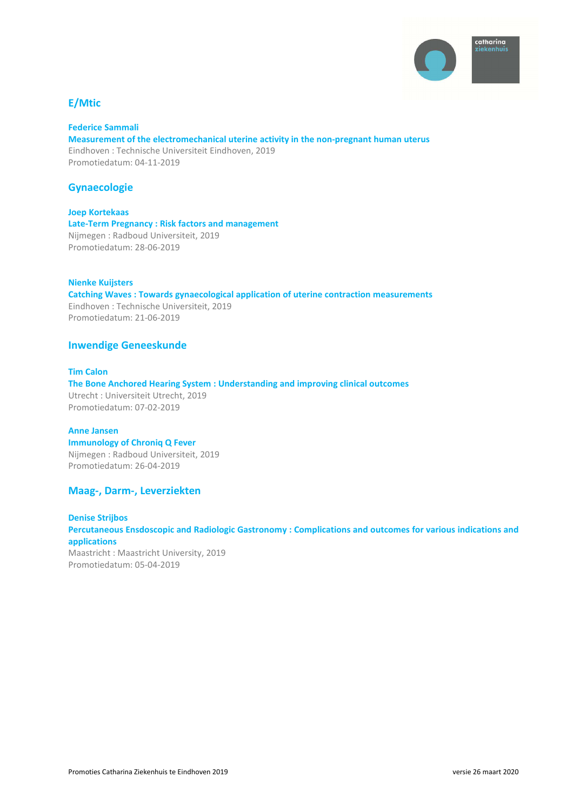

# **E/Mtic**

#### **Federice Sammali Measurement of the electromechanical uterine activity in the non-pregnant human uterus**

Eindhoven : Technische Universiteit Eindhoven, 2019 Promotiedatum: 04-11-2019

# **Gynaecologie**

**Joep Kortekaas Late-Term Pregnancy : Risk factors and management**  Nijmegen : Radboud Universiteit, 2019 Promotiedatum: 28-06-2019

#### **Nienke Kuijsters**

**Catching Waves : Towards gynaecological application of uterine contraction measurements**  Eindhoven : Technische Universiteit, 2019 Promotiedatum: 21-06-2019

# **Inwendige Geneeskunde**

# **Tim Calon**

**The Bone Anchored Hearing System : Understanding and improving clinical outcomes**  Utrecht : Universiteit Utrecht, 2019 Promotiedatum: 07-02-2019

**Anne Jansen Immunology of Chroniq Q Fever**  Nijmegen : Radboud Universiteit, 2019 Promotiedatum: 26-04-2019

#### **Maag-, Darm-, Leverziekten**

**Denise Strijbos Percutaneous Ensdoscopic and Radiologic Gastronomy : Complications and outcomes for various indications and applications**  Maastricht : Maastricht University, 2019 Promotiedatum: 05-04-2019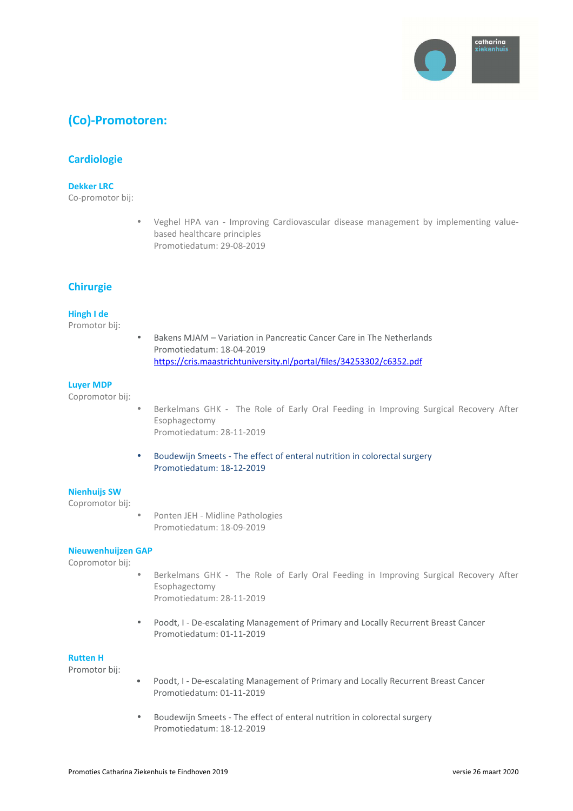

# **(Co)-Promotoren:**

# **Cardiologie**

#### **Dekker LRC**

Co-promotor bij:

• Veghel HPA van - Improving Cardiovascular disease management by implementing valuebased healthcare principles Promotiedatum: 29-08-2019

# **Chirurgie**

#### **Hingh I de**

Promotor bij:

• Bakens MJAM – Variation in Pancreatic Cancer Care in The Netherlands Promotiedatum: 18-04-2019 https://cris.maastrichtuniversity.nl/portal/files/34253302/c6352.pdf

#### **Luyer MDP**

Copromotor bij:

- Berkelmans GHK The Role of Early Oral Feeding in Improving Surgical Recovery After Esophagectomy Promotiedatum: 28-11-2019
- Boudewijn Smeets The effect of enteral nutrition in colorectal surgery Promotiedatum: 18-12-2019

## **Nienhuijs SW**

Copromotor bij:

• Ponten JEH - Midline Pathologies Promotiedatum: 18-09-2019

#### **Nieuwenhuijzen GAP**

Copromotor bij:

- Berkelmans GHK The Role of Early Oral Feeding in Improving Surgical Recovery After Esophagectomy Promotiedatum: 28-11-2019
- Poodt, I De-escalating Management of Primary and Locally Recurrent Breast Cancer Promotiedatum: 01-11-2019

#### **Rutten H**

Promotor bij:

- Poodt, I De-escalating Management of Primary and Locally Recurrent Breast Cancer Promotiedatum: 01-11-2019
- Boudewijn Smeets The effect of enteral nutrition in colorectal surgery Promotiedatum: 18-12-2019